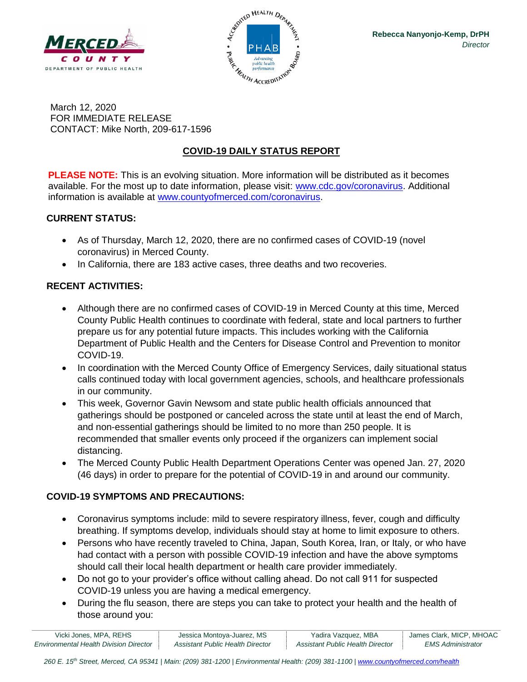



March 12, 2020 FOR IMMEDIATE RELEASE CONTACT: Mike North, 209-617-1596

# **COVID-19 DAILY STATUS REPORT**

**PLEASE NOTE:** This is an evolving situation. More information will be distributed as it becomes available. For the most up to date information, please visit: [www.cdc.gov/coronavirus.](http://www.cdc.gov/coronavirus) Additional information is available at [www.countyofmerced.com/coronavirus.](http://www.countyofmerced.com/coronavirus)

#### **CURRENT STATUS:**

- As of Thursday, March 12, 2020, there are no confirmed cases of COVID-19 (novel coronavirus) in Merced County.
- In California, there are 183 active cases, three deaths and two recoveries.

## **RECENT ACTIVITIES:**

- Although there are no confirmed cases of COVID-19 in Merced County at this time, Merced County Public Health continues to coordinate with federal, state and local partners to further prepare us for any potential future impacts. This includes working with the California Department of Public Health and the Centers for Disease Control and Prevention to monitor COVID-19.
- In coordination with the Merced County Office of Emergency Services, daily situational status calls continued today with local government agencies, schools, and healthcare professionals in our community.
- This week, Governor Gavin Newsom and state public health officials announced that gatherings should be postponed or canceled across the state until at least the end of March, and non-essential gatherings should be limited to no more than 250 people. It is recommended that smaller events only proceed if the organizers can implement social distancing.
- The Merced County Public Health Department Operations Center was opened Jan. 27, 2020 (46 days) in order to prepare for the potential of COVID-19 in and around our community.

## **COVID-19 SYMPTOMS AND PRECAUTIONS:**

- Coronavirus symptoms include: mild to severe respiratory illness, fever, cough and difficulty breathing. If symptoms develop, individuals should stay at home to limit exposure to others.
- Persons who have recently traveled to China, Japan, South Korea, Iran, or Italy, or who have had contact with a person with possible COVID-19 infection and have the above symptoms should call their local health department or health care provider immediately.
- Do not go to your provider's office without calling ahead. Do not call 911 for suspected COVID-19 unless you are having a medical emergency.
- During the flu season, there are steps you can take to protect your health and the health of those around you:

| Vicki Jones, MPA, REHS                        | Jessica Montoya-Juarez, MS       | Yadira Vazquez, MBA              | James Clark, MICP, MHOAC |
|-----------------------------------------------|----------------------------------|----------------------------------|--------------------------|
| <b>Environmental Health Division Director</b> | Assistant Public Health Director | Assistant Public Health Director | <b>EMS Administrator</b> |